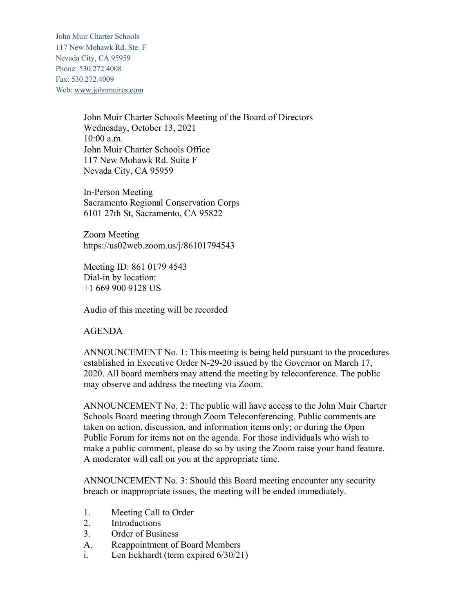John Muir Charter Schools 117 New Mohawk Rd. Ste. F Nevada City, CA 95959 Phone: 530.272.4008 Fax: 530.272.4009 Web: www.johnmuircs.com

> John Muir Charter Schools Meeting of the Board of Directors Wednesday, October 13, 2021 10:00 a.m. John Muir Charter Schools Office 117 New Mohawk Rd. Suite F Nevada City, CA 95959

In-Person Meeting Sacramento Regional Conservation Corps 6101 27th St, Sacramento, CA 95822

Zoom Meeting https://us02web.zoom.us/j/86101794543

Meeting ID: 861 0179 4543 Dial-in by location: +1 669 900 9128 US

Audio of this meeting will be recorded

AGENDA

ANNOUNCEMENT No. 1: This meeting is being held pursuant to the procedures established in Executive Order N-29-20 issued by the Governor on March 17, 2020. All board members may attend the meeting by teleconference. The public may observe and address the meeting via Zoom.

ANNOUNCEMENT No. 2: The public will have access to the John Muir Charter Schools Board meeting through Zoom Teleconferencing. Public comments are taken on action, discussion, and information items only; or during the Open Public Forum for items not on the agenda. For those individuals who wish to make a public comment, please do so by using the Zoom raise your hand feature. A moderator will call on you at the appropriate time.

ANNOUNCEMENT No. 3: Should this Board meeting encounter any security breach or inappropriate issues, the meeting will be ended immediately.

- 1. Meeting Call to Order
- 2. Introductions
- 3. Order of Business
- A. Reappointment of Board Members
- i. Len Eckhardt (term expired 6/30/21)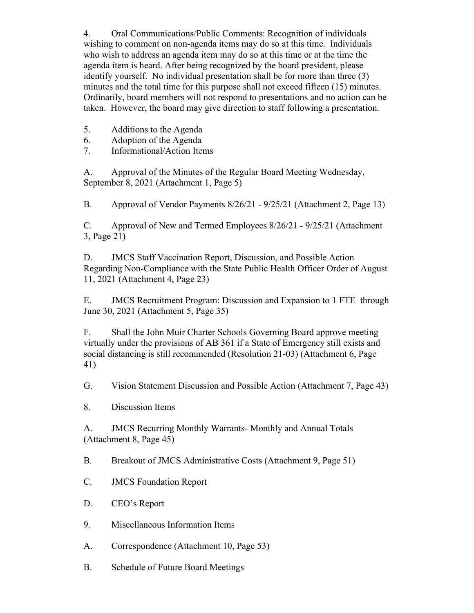4. Oral Communications/Public Comments: Recognition of individuals wishing to comment on non-agenda items may do so at this time. Individuals who wish to address an agenda item may do so at this time or at the time the agenda item is heard. After being recognized by the board president, please identify yourself. No individual presentation shall be for more than three (3) minutes and the total time for this purpose shall not exceed fifteen (15) minutes. Ordinarily, board members will not respond to presentations and no action can be taken. However, the board may give direction to staff following a presentation.

- 5. Additions to the Agenda
- 6. Adoption of the Agenda
- 7. Informational/Action Items

A. Approval of the Minutes of the Regular Board Meeting Wednesday, September 8, 2021 (Attachment 1, Page 5)

B. Approval of Vendor Payments 8/26/21 - 9/25/21 (Attachment 2, Page 13)

C. Approval of New and Termed Employees 8/26/21 - 9/25/21 (Attachment 3, Page 21)

D. JMCS Staff Vaccination Report, Discussion, and Possible Action Regarding Non-Compliance with the State Public Health Officer Order of August 11, 2021 (Attachment 4, Page 23)

E. JMCS Recruitment Program: Discussion and Expansion to 1 FTE through June 30, 2021 (Attachment 5, Page 35)

F. Shall the John Muir Charter Schools Governing Board approve meeting virtually under the provisions of AB 361 if a State of Emergency still exists and social distancing is still recommended (Resolution 21-03) (Attachment 6, Page 41)

G. Vision Statement Discussion and Possible Action (Attachment 7, Page 43)

8. Discussion Items

A. JMCS Recurring Monthly Warrants- Monthly and Annual Totals (Attachment 8, Page 45)

B. Breakout of JMCS Administrative Costs (Attachment 9, Page 51)

- C. JMCS Foundation Report
- D. CEO's Report
- 9. Miscellaneous Information Items
- A. Correspondence (Attachment 10, Page 53)
- B. Schedule of Future Board Meetings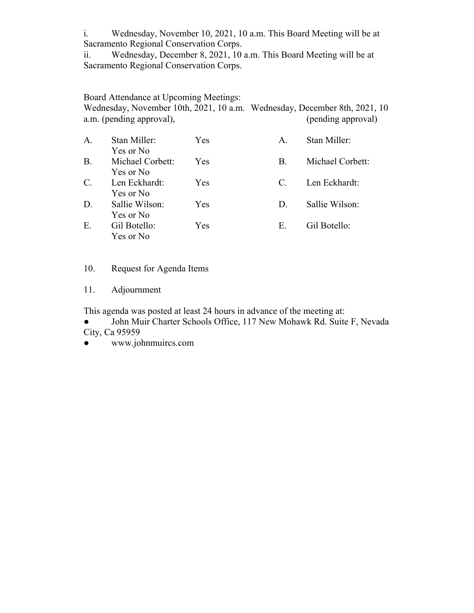i. Wednesday, November 10, 2021, 10 a.m. This Board Meeting will be at Sacramento Regional Conservation Corps.

ii. Wednesday, December 8, 2021, 10 a.m. This Board Meeting will be at Sacramento Regional Conservation Corps.

Board Attendance at Upcoming Meetings: Wednesday, November 10th, 2021, 10 a.m. Wednesday, December 8th, 2021, 10 a.m. (pending approval),  $(\text{pending approval})$ 

| A.        | Stan Miller:                  | Yes        | A.          | Stan Miller:     |
|-----------|-------------------------------|------------|-------------|------------------|
| <b>B.</b> | Yes or No<br>Michael Corbett: | <b>Yes</b> | <b>B.</b>   | Michael Corbett: |
| $C$ .     | Yes or No<br>Len Eckhardt:    | <b>Yes</b> | $C_{\cdot}$ | Len Eckhardt:    |
| D.        | Yes or No<br>Sallie Wilson:   | <b>Yes</b> | $D_{\cdot}$ | Sallie Wilson:   |
|           | Yes or No                     |            |             |                  |
| Ε.        | Gil Botello:<br>Yes or No     | <b>Yes</b> | Е.          | Gil Botello:     |

## 10. Request for Agenda Items

11. Adjournment

This agenda was posted at least 24 hours in advance of the meeting at:

John Muir Charter Schools Office, 117 New Mohawk Rd. Suite F, Nevada City, Ca 95959

● www.johnmuircs.com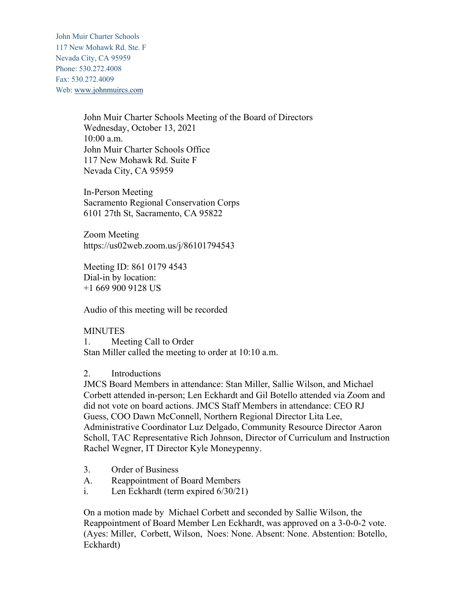John Muir Charter Schools 117 New Mohawk Rd. Ste. F Nevada City, CA 95959 Phone: 530.272.4008 Fax: 530.272.4009 Web: www.johnmuircs.com

> John Muir Charter Schools Meeting of the Board of Directors Wednesday, October 13, 2021 10:00 a.m. John Muir Charter Schools Office 117 New Mohawk Rd. Suite F Nevada City, CA 95959

In-Person Meeting Sacramento Regional Conservation Corps 6101 27th St, Sacramento, CA 95822

Zoom Meeting https://us02web.zoom.us/j/86101794543

Meeting ID: 861 0179 4543 Dial-in by location: +1 669 900 9128 US

Audio of this meeting will be recorded

## MINUTES

1. Meeting Call to Order Stan Miller called the meeting to order at 10:10 a.m.

## 2. Introductions

JMCS Board Members in attendance: Stan Miller, Sallie Wilson, and Michael Corbett attended in-person; Len Eckhardt and Gil Botello attended via Zoom and did not vote on board actions. JMCS Staff Members in attendance: CEO RJ Guess, COO Dawn McConnell, Northern Regional Director Lita Lee, Administrative Coordinator Luz Delgado, Community Resource Director Aaron Scholl, TAC Representative Rich Johnson, Director of Curriculum and Instruction Rachel Wegner, IT Director Kyle Moneypenny.

- 3. Order of Business
- A. Reappointment of Board Members
- i. Len Eckhardt (term expired 6/30/21)

On a motion made by Michael Corbett and seconded by Sallie Wilson, the Reappointment of Board Member Len Eckhardt, was approved on a 3-0-0-2 vote. (Ayes: Miller, Corbett, Wilson, Noes: None. Absent: None. Abstention: Botello, Eckhardt)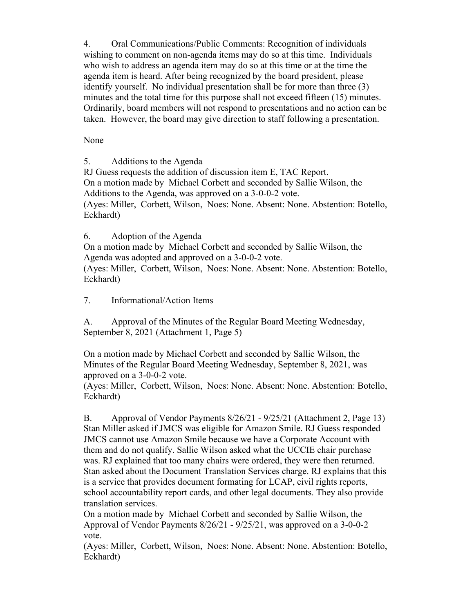4. Oral Communications/Public Comments: Recognition of individuals wishing to comment on non-agenda items may do so at this time. Individuals who wish to address an agenda item may do so at this time or at the time the agenda item is heard. After being recognized by the board president, please identify yourself. No individual presentation shall be for more than three (3) minutes and the total time for this purpose shall not exceed fifteen (15) minutes. Ordinarily, board members will not respond to presentations and no action can be taken. However, the board may give direction to staff following a presentation.

None

5. Additions to the Agenda

RJ Guess requests the addition of discussion item E, TAC Report. On a motion made by Michael Corbett and seconded by Sallie Wilson, the Additions to the Agenda, was approved on a 3-0-0-2 vote. (Ayes: Miller, Corbett, Wilson, Noes: None. Absent: None. Abstention: Botello, Eckhardt)

6. Adoption of the Agenda

On a motion made by Michael Corbett and seconded by Sallie Wilson, the Agenda was adopted and approved on a 3-0-0-2 vote.

(Ayes: Miller, Corbett, Wilson, Noes: None. Absent: None. Abstention: Botello, Eckhardt)

7. Informational/Action Items

A. Approval of the Minutes of the Regular Board Meeting Wednesday, September 8, 2021 (Attachment 1, Page 5)

On a motion made by Michael Corbett and seconded by Sallie Wilson, the Minutes of the Regular Board Meeting Wednesday, September 8, 2021, was approved on a 3-0-0-2 vote.

(Ayes: Miller, Corbett, Wilson, Noes: None. Absent: None. Abstention: Botello, Eckhardt)

B. Approval of Vendor Payments 8/26/21 - 9/25/21 (Attachment 2, Page 13) Stan Miller asked if JMCS was eligible for Amazon Smile. RJ Guess responded JMCS cannot use Amazon Smile because we have a Corporate Account with them and do not qualify. Sallie Wilson asked what the UCCIE chair purchase was. RJ explained that too many chairs were ordered, they were then returned. Stan asked about the Document Translation Services charge. RJ explains that this is a service that provides document formating for LCAP, civil rights reports, school accountability report cards, and other legal documents. They also provide translation services.

On a motion made by Michael Corbett and seconded by Sallie Wilson, the Approval of Vendor Payments 8/26/21 - 9/25/21, was approved on a 3-0-0-2 vote.

(Ayes: Miller, Corbett, Wilson, Noes: None. Absent: None. Abstention: Botello, Eckhardt)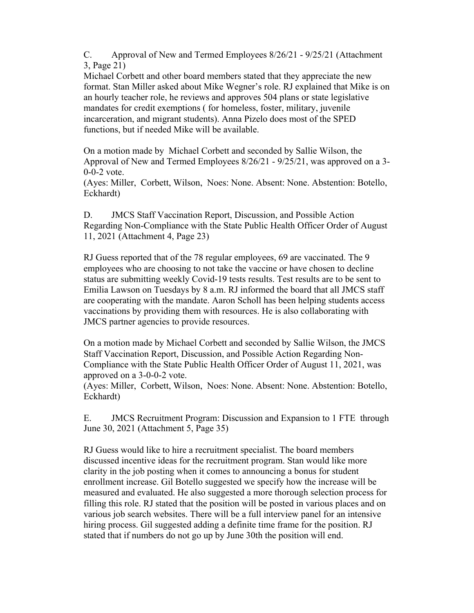C. Approval of New and Termed Employees 8/26/21 - 9/25/21 (Attachment 3, Page 21)

Michael Corbett and other board members stated that they appreciate the new format. Stan Miller asked about Mike Wegner's role. RJ explained that Mike is on an hourly teacher role, he reviews and approves 504 plans or state legislative mandates for credit exemptions ( for homeless, foster, military, juvenile incarceration, and migrant students). Anna Pizelo does most of the SPED functions, but if needed Mike will be available.

On a motion made by Michael Corbett and seconded by Sallie Wilson, the Approval of New and Termed Employees 8/26/21 - 9/25/21, was approved on a 3- 0-0-2 vote.

(Ayes: Miller, Corbett, Wilson, Noes: None. Absent: None. Abstention: Botello, Eckhardt)

D. JMCS Staff Vaccination Report, Discussion, and Possible Action Regarding Non-Compliance with the State Public Health Officer Order of August 11, 2021 (Attachment 4, Page 23)

RJ Guess reported that of the 78 regular employees, 69 are vaccinated. The 9 employees who are choosing to not take the vaccine or have chosen to decline status are submitting weekly Covid-19 tests results. Test results are to be sent to Emilia Lawson on Tuesdays by 8 a.m. RJ informed the board that all JMCS staff are cooperating with the mandate. Aaron Scholl has been helping students access vaccinations by providing them with resources. He is also collaborating with JMCS partner agencies to provide resources.

On a motion made by Michael Corbett and seconded by Sallie Wilson, the JMCS Staff Vaccination Report, Discussion, and Possible Action Regarding Non-Compliance with the State Public Health Officer Order of August 11, 2021, was approved on a 3-0-0-2 vote.

(Ayes: Miller, Corbett, Wilson, Noes: None. Absent: None. Abstention: Botello, Eckhardt)

E. JMCS Recruitment Program: Discussion and Expansion to 1 FTE through June 30, 2021 (Attachment 5, Page 35)

RJ Guess would like to hire a recruitment specialist. The board members discussed incentive ideas for the recruitment program. Stan would like more clarity in the job posting when it comes to announcing a bonus for student enrollment increase. Gil Botello suggested we specify how the increase will be measured and evaluated. He also suggested a more thorough selection process for filling this role. RJ stated that the position will be posted in various places and on various job search websites. There will be a full interview panel for an intensive hiring process. Gil suggested adding a definite time frame for the position. RJ stated that if numbers do not go up by June 30th the position will end.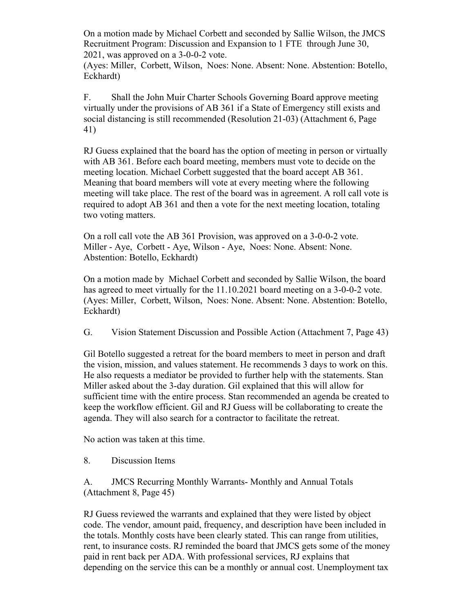On a motion made by Michael Corbett and seconded by Sallie Wilson, the JMCS Recruitment Program: Discussion and Expansion to 1 FTE through June 30, 2021, was approved on a 3-0-0-2 vote.

(Ayes: Miller, Corbett, Wilson, Noes: None. Absent: None. Abstention: Botello, Eckhardt)

F. Shall the John Muir Charter Schools Governing Board approve meeting virtually under the provisions of AB 361 if a State of Emergency still exists and social distancing is still recommended (Resolution 21-03) (Attachment 6, Page 41)

RJ Guess explained that the board has the option of meeting in person or virtually with AB 361. Before each board meeting, members must vote to decide on the meeting location. Michael Corbett suggested that the board accept AB 361. Meaning that board members will vote at every meeting where the following meeting will take place. The rest of the board was in agreement. A roll call vote is required to adopt AB 361 and then a vote for the next meeting location, totaling two voting matters.

On a roll call vote the AB 361 Provision, was approved on a 3-0-0-2 vote. Miller - Aye, Corbett - Aye, Wilson - Aye, Noes: None. Absent: None. Abstention: Botello, Eckhardt)

On a motion made by Michael Corbett and seconded by Sallie Wilson, the board has agreed to meet virtually for the 11.10.2021 board meeting on a 3-0-0-2 vote. (Ayes: Miller, Corbett, Wilson, Noes: None. Absent: None. Abstention: Botello, Eckhardt)

G. Vision Statement Discussion and Possible Action (Attachment 7, Page 43)

Gil Botello suggested a retreat for the board members to meet in person and draft the vision, mission, and values statement. He recommends 3 days to work on this. He also requests a mediator be provided to further help with the statements. Stan Miller asked about the 3-day duration. Gil explained that this will allow for sufficient time with the entire process. Stan recommended an agenda be created to keep the workflow efficient. Gil and RJ Guess will be collaborating to create the agenda. They will also search for a contractor to facilitate the retreat.

No action was taken at this time.

8. Discussion Items

A. JMCS Recurring Monthly Warrants- Monthly and Annual Totals (Attachment 8, Page 45)

RJ Guess reviewed the warrants and explained that they were listed by object code. The vendor, amount paid, frequency, and description have been included in the totals. Monthly costs have been clearly stated. This can range from utilities, rent, to insurance costs. RJ reminded the board that JMCS gets some of the money paid in rent back per ADA. With professional services, RJ explains that depending on the service this can be a monthly or annual cost. Unemployment tax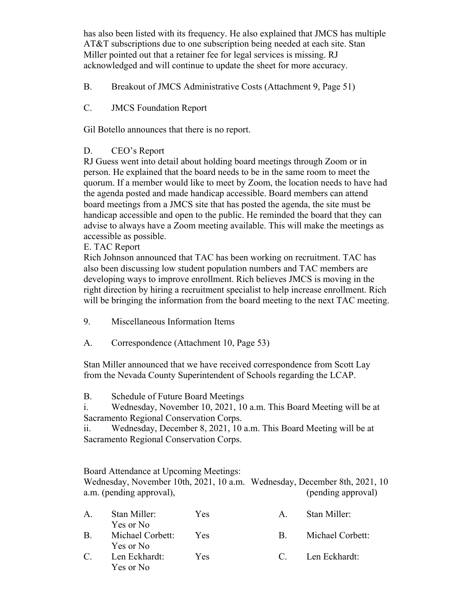has also been listed with its frequency. He also explained that JMCS has multiple AT&T subscriptions due to one subscription being needed at each site. Stan Miller pointed out that a retainer fee for legal services is missing. RJ acknowledged and will continue to update the sheet for more accuracy.

B. Breakout of JMCS Administrative Costs (Attachment 9, Page 51)

C. JMCS Foundation Report

Gil Botello announces that there is no report.

## D. CEO's Report

RJ Guess went into detail about holding board meetings through Zoom or in person. He explained that the board needs to be in the same room to meet the quorum. If a member would like to meet by Zoom, the location needs to have had the agenda posted and made handicap accessible. Board members can attend board meetings from a JMCS site that has posted the agenda, the site must be handicap accessible and open to the public. He reminded the board that they can advise to always have a Zoom meeting available. This will make the meetings as accessible as possible.

E. TAC Report

Rich Johnson announced that TAC has been working on recruitment. TAC has also been discussing low student population numbers and TAC members are developing ways to improve enrollment. Rich believes JMCS is moving in the right direction by hiring a recruitment specialist to help increase enrollment. Rich will be bringing the information from the board meeting to the next TAC meeting.

- 9. Miscellaneous Information Items
- A. Correspondence (Attachment 10, Page 53)

Stan Miller announced that we have received correspondence from Scott Lay from the Nevada County Superintendent of Schools regarding the LCAP.

B. Schedule of Future Board Meetings

i. Wednesday, November 10, 2021, 10 a.m. This Board Meeting will be at Sacramento Regional Conservation Corps.

ii. Wednesday, December 8, 2021, 10 a.m. This Board Meeting will be at Sacramento Regional Conservation Corps.

Board Attendance at Upcoming Meetings:

Wednesday, November 10th, 2021, 10 a.m. Wednesday, December 8th, 2021, 10 a.m. (pending approval),  $(\text{pending approval})$ 

| $\mathsf{A}$ . | Stan Miller:<br>Yes or No     | <b>Yes</b> | A     | Stan Miller:     |
|----------------|-------------------------------|------------|-------|------------------|
| $\mathbf{B}$ . | Michael Corbett:<br>Yes or No | <b>Yes</b> | R.    | Michael Corbett: |
| $\mathbb{C}$ . | Len Eckhardt:<br>Yes or No    | <b>Yes</b> | $C =$ | Len Eckhardt:    |